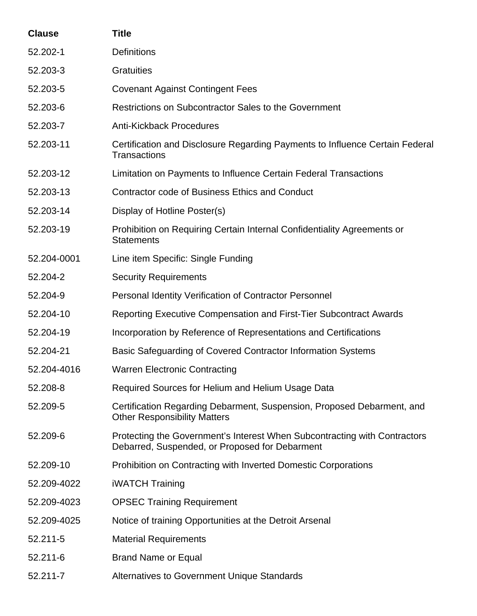| <b>Clause</b> | <b>Title</b>                                                                                                                |
|---------------|-----------------------------------------------------------------------------------------------------------------------------|
| 52.202-1      | <b>Definitions</b>                                                                                                          |
| 52.203-3      | <b>Gratuities</b>                                                                                                           |
| 52.203-5      | <b>Covenant Against Contingent Fees</b>                                                                                     |
| 52.203-6      | Restrictions on Subcontractor Sales to the Government                                                                       |
| 52.203-7      | <b>Anti-Kickback Procedures</b>                                                                                             |
| 52.203-11     | Certification and Disclosure Regarding Payments to Influence Certain Federal<br><b>Transactions</b>                         |
| 52.203-12     | Limitation on Payments to Influence Certain Federal Transactions                                                            |
| 52.203-13     | <b>Contractor code of Business Ethics and Conduct</b>                                                                       |
| 52.203-14     | Display of Hotline Poster(s)                                                                                                |
| 52.203-19     | Prohibition on Requiring Certain Internal Confidentiality Agreements or<br><b>Statements</b>                                |
| 52.204-0001   | Line item Specific: Single Funding                                                                                          |
| 52.204-2      | <b>Security Requirements</b>                                                                                                |
| 52.204-9      | <b>Personal Identity Verification of Contractor Personnel</b>                                                               |
| 52.204-10     | Reporting Executive Compensation and First-Tier Subcontract Awards                                                          |
| 52.204-19     | Incorporation by Reference of Representations and Certifications                                                            |
| 52.204-21     | Basic Safeguarding of Covered Contractor Information Systems                                                                |
| 52.204-4016   | <b>Warren Electronic Contracting</b>                                                                                        |
| 52.208-8      | Required Sources for Helium and Helium Usage Data                                                                           |
| 52.209-5      | Certification Regarding Debarment, Suspension, Proposed Debarment, and<br><b>Other Responsibility Matters</b>               |
| 52.209-6      | Protecting the Government's Interest When Subcontracting with Contractors<br>Debarred, Suspended, or Proposed for Debarment |
| 52.209-10     | Prohibition on Contracting with Inverted Domestic Corporations                                                              |
| 52.209-4022   | <b>iWATCH Training</b>                                                                                                      |
| 52.209-4023   | <b>OPSEC Training Requirement</b>                                                                                           |
| 52.209-4025   | Notice of training Opportunities at the Detroit Arsenal                                                                     |
| 52.211-5      | <b>Material Requirements</b>                                                                                                |
| 52.211-6      | <b>Brand Name or Equal</b>                                                                                                  |
| 52.211-7      | <b>Alternatives to Government Unique Standards</b>                                                                          |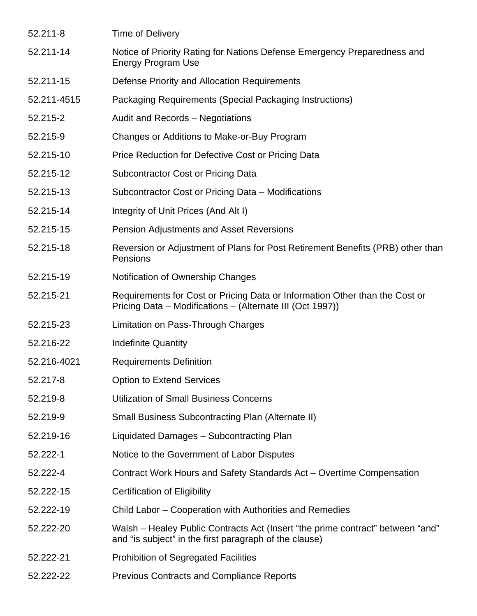| 52.211-8    | <b>Time of Delivery</b>                                                                                                                  |
|-------------|------------------------------------------------------------------------------------------------------------------------------------------|
| 52.211-14   | Notice of Priority Rating for Nations Defense Emergency Preparedness and<br><b>Energy Program Use</b>                                    |
| 52.211-15   | Defense Priority and Allocation Requirements                                                                                             |
| 52.211-4515 | Packaging Requirements (Special Packaging Instructions)                                                                                  |
| 52.215-2    | Audit and Records - Negotiations                                                                                                         |
| 52.215-9    | Changes or Additions to Make-or-Buy Program                                                                                              |
| 52.215-10   | Price Reduction for Defective Cost or Pricing Data                                                                                       |
| 52.215-12   | <b>Subcontractor Cost or Pricing Data</b>                                                                                                |
| 52.215-13   | Subcontractor Cost or Pricing Data - Modifications                                                                                       |
| 52.215-14   | Integrity of Unit Prices (And Alt I)                                                                                                     |
| 52.215-15   | <b>Pension Adjustments and Asset Reversions</b>                                                                                          |
| 52.215-18   | Reversion or Adjustment of Plans for Post Retirement Benefits (PRB) other than<br>Pensions                                               |
| 52.215-19   | Notification of Ownership Changes                                                                                                        |
| 52.215-21   | Requirements for Cost or Pricing Data or Information Other than the Cost or<br>Pricing Data – Modifications – (Alternate III (Oct 1997)) |
| 52.215-23   | Limitation on Pass-Through Charges                                                                                                       |
| 52.216-22   | <b>Indefinite Quantity</b>                                                                                                               |
| 52.216-4021 | <b>Requirements Definition</b>                                                                                                           |
| 52.217-8    | <b>Option to Extend Services</b>                                                                                                         |
| 52.219-8    | <b>Utilization of Small Business Concerns</b>                                                                                            |
| 52.219-9    | <b>Small Business Subcontracting Plan (Alternate II)</b>                                                                                 |
| 52.219-16   | Liquidated Damages - Subcontracting Plan                                                                                                 |
| 52.222-1    | Notice to the Government of Labor Disputes                                                                                               |
| 52.222-4    | Contract Work Hours and Safety Standards Act - Overtime Compensation                                                                     |
| 52.222-15   | <b>Certification of Eligibility</b>                                                                                                      |
| 52.222-19   | Child Labor – Cooperation with Authorities and Remedies                                                                                  |
| 52.222-20   | Walsh – Healey Public Contracts Act (Insert "the prime contract" between "and"<br>and "is subject" in the first paragraph of the clause) |
| 52.222-21   | <b>Prohibition of Segregated Facilities</b>                                                                                              |
| 52.222-22   | <b>Previous Contracts and Compliance Reports</b>                                                                                         |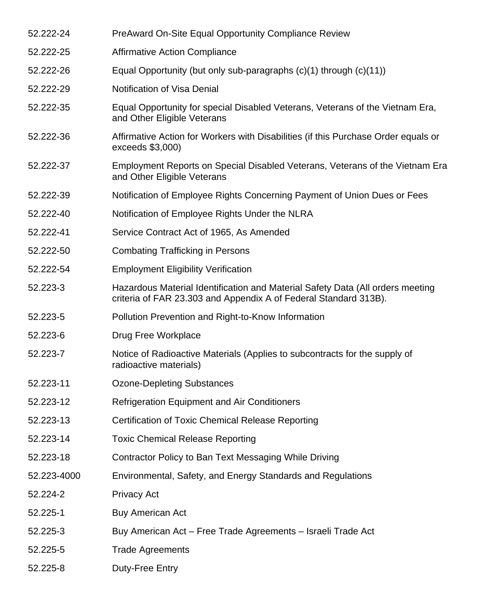| 52.222-24   | PreAward On-Site Equal Opportunity Compliance Review                                                                                               |
|-------------|----------------------------------------------------------------------------------------------------------------------------------------------------|
| 52.222-25   | <b>Affirmative Action Compliance</b>                                                                                                               |
| 52.222-26   | Equal Opportunity (but only sub-paragraphs $(c)(1)$ through $(c)(11)$ )                                                                            |
| 52.222-29   | Notification of Visa Denial                                                                                                                        |
| 52.222-35   | Equal Opportunity for special Disabled Veterans, Veterans of the Vietnam Era,<br>and Other Eligible Veterans                                       |
| 52.222-36   | Affirmative Action for Workers with Disabilities (if this Purchase Order equals or<br>$exceeds$ \$3,000)                                           |
| 52.222-37   | Employment Reports on Special Disabled Veterans, Veterans of the Vietnam Era<br>and Other Eligible Veterans                                        |
| 52.222-39   | Notification of Employee Rights Concerning Payment of Union Dues or Fees                                                                           |
| 52.222-40   | Notification of Employee Rights Under the NLRA                                                                                                     |
| 52.222-41   | Service Contract Act of 1965, As Amended                                                                                                           |
| 52.222-50   | <b>Combating Trafficking in Persons</b>                                                                                                            |
| 52.222-54   | <b>Employment Eligibility Verification</b>                                                                                                         |
| 52.223-3    | Hazardous Material Identification and Material Safety Data (All orders meeting<br>criteria of FAR 23.303 and Appendix A of Federal Standard 313B). |
| 52.223-5    | Pollution Prevention and Right-to-Know Information                                                                                                 |
| 52.223-6    | Drug Free Workplace                                                                                                                                |
| 52.223-7    | Notice of Radioactive Materials (Applies to subcontracts for the supply of<br>radioactive materials)                                               |
| 52.223-11   | <b>Ozone-Depleting Substances</b>                                                                                                                  |
| 52.223-12   | <b>Refrigeration Equipment and Air Conditioners</b>                                                                                                |
| 52.223-13   | <b>Certification of Toxic Chemical Release Reporting</b>                                                                                           |
| 52.223-14   | <b>Toxic Chemical Release Reporting</b>                                                                                                            |
| 52.223-18   | Contractor Policy to Ban Text Messaging While Driving                                                                                              |
| 52.223-4000 | Environmental, Safety, and Energy Standards and Regulations                                                                                        |
| 52.224-2    | <b>Privacy Act</b>                                                                                                                                 |
| 52.225-1    | <b>Buy American Act</b>                                                                                                                            |
| 52.225-3    | Buy American Act - Free Trade Agreements - Israeli Trade Act                                                                                       |
| 52.225-5    | <b>Trade Agreements</b>                                                                                                                            |
| 52.225-8    | Duty-Free Entry                                                                                                                                    |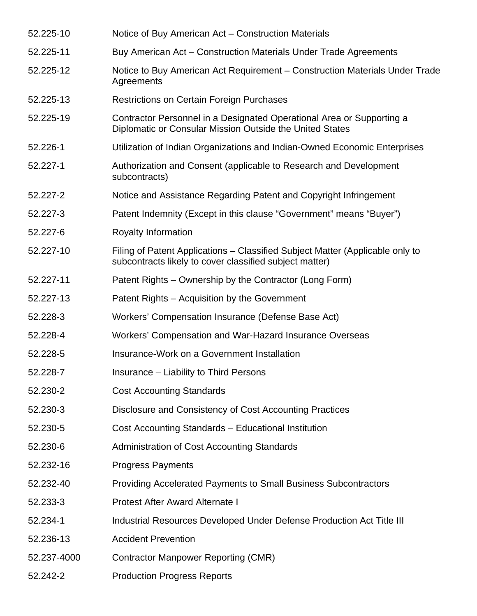| 52.225-10   | Notice of Buy American Act - Construction Materials                                                                                      |
|-------------|------------------------------------------------------------------------------------------------------------------------------------------|
| 52.225-11   | Buy American Act – Construction Materials Under Trade Agreements                                                                         |
| 52.225-12   | Notice to Buy American Act Requirement - Construction Materials Under Trade<br>Agreements                                                |
| 52.225-13   | <b>Restrictions on Certain Foreign Purchases</b>                                                                                         |
| 52.225-19   | Contractor Personnel in a Designated Operational Area or Supporting a<br>Diplomatic or Consular Mission Outside the United States        |
| 52.226-1    | Utilization of Indian Organizations and Indian-Owned Economic Enterprises                                                                |
| 52.227-1    | Authorization and Consent (applicable to Research and Development<br>subcontracts)                                                       |
| 52.227-2    | Notice and Assistance Regarding Patent and Copyright Infringement                                                                        |
| 52.227-3    | Patent Indemnity (Except in this clause "Government" means "Buyer")                                                                      |
| 52.227-6    | Royalty Information                                                                                                                      |
| 52.227-10   | Filing of Patent Applications – Classified Subject Matter (Applicable only to<br>subcontracts likely to cover classified subject matter) |
| 52.227-11   | Patent Rights – Ownership by the Contractor (Long Form)                                                                                  |
| 52.227-13   | Patent Rights – Acquisition by the Government                                                                                            |
| 52.228-3    | Workers' Compensation Insurance (Defense Base Act)                                                                                       |
| 52.228-4    | Workers' Compensation and War-Hazard Insurance Overseas                                                                                  |
| 52.228-5    | Insurance-Work on a Government Installation                                                                                              |
| 52.228-7    | Insurance - Liability to Third Persons                                                                                                   |
| 52.230-2    | <b>Cost Accounting Standards</b>                                                                                                         |
| 52.230-3    | Disclosure and Consistency of Cost Accounting Practices                                                                                  |
| 52.230-5    | Cost Accounting Standards - Educational Institution                                                                                      |
| 52.230-6    | Administration of Cost Accounting Standards                                                                                              |
| 52.232-16   | <b>Progress Payments</b>                                                                                                                 |
| 52.232-40   | <b>Providing Accelerated Payments to Small Business Subcontractors</b>                                                                   |
| 52.233-3    | <b>Protest After Award Alternate I</b>                                                                                                   |
| 52.234-1    | Industrial Resources Developed Under Defense Production Act Title III                                                                    |
| 52.236-13   | <b>Accident Prevention</b>                                                                                                               |
| 52.237-4000 | <b>Contractor Manpower Reporting (CMR)</b>                                                                                               |
| 52.242-2    | <b>Production Progress Reports</b>                                                                                                       |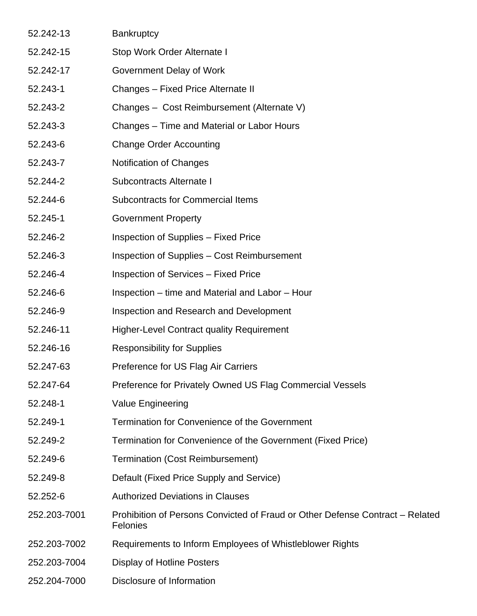| 52.242-13    | <b>Bankruptcy</b>                                                                                |
|--------------|--------------------------------------------------------------------------------------------------|
| 52.242-15    | Stop Work Order Alternate I                                                                      |
| 52.242-17    | Government Delay of Work                                                                         |
| 52.243-1     | Changes - Fixed Price Alternate II                                                               |
| 52.243-2     | Changes - Cost Reimbursement (Alternate V)                                                       |
| 52.243-3     | Changes – Time and Material or Labor Hours                                                       |
| 52.243-6     | <b>Change Order Accounting</b>                                                                   |
| 52.243-7     | <b>Notification of Changes</b>                                                                   |
| 52.244-2     | Subcontracts Alternate I                                                                         |
| 52.244-6     | <b>Subcontracts for Commercial Items</b>                                                         |
| 52.245-1     | <b>Government Property</b>                                                                       |
| 52.246-2     | Inspection of Supplies - Fixed Price                                                             |
| 52.246-3     | Inspection of Supplies – Cost Reimbursement                                                      |
| 52.246-4     | <b>Inspection of Services - Fixed Price</b>                                                      |
| 52.246-6     | Inspection – time and Material and Labor – Hour                                                  |
| 52.246-9     | Inspection and Research and Development                                                          |
| 52.246-11    | <b>Higher-Level Contract quality Requirement</b>                                                 |
| 52.246-16    | <b>Responsibility for Supplies</b>                                                               |
| 52.247-63    | Preference for US Flag Air Carriers                                                              |
| 52.247-64    | Preference for Privately Owned US Flag Commercial Vessels                                        |
| 52.248-1     | Value Engineering                                                                                |
| 52.249-1     | Termination for Convenience of the Government                                                    |
| 52.249-2     | Termination for Convenience of the Government (Fixed Price)                                      |
| 52.249-6     | <b>Termination (Cost Reimbursement)</b>                                                          |
| 52.249-8     | Default (Fixed Price Supply and Service)                                                         |
| 52.252-6     | <b>Authorized Deviations in Clauses</b>                                                          |
| 252.203-7001 | Prohibition of Persons Convicted of Fraud or Other Defense Contract - Related<br><b>Felonies</b> |
| 252.203-7002 | Requirements to Inform Employees of Whistleblower Rights                                         |
| 252.203-7004 | <b>Display of Hotline Posters</b>                                                                |
| 252.204-7000 | Disclosure of Information                                                                        |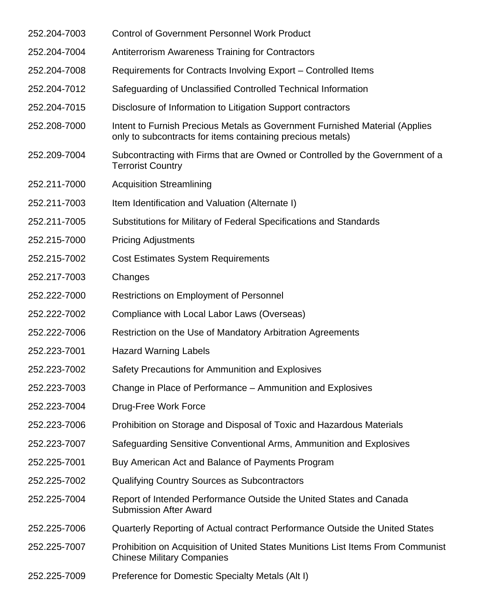252.204-7003 Control of Government Personnel Work Product 252.204-7004 Antiterrorism Awareness Training for Contractors 252.204-7008 Requirements for Contracts Involving Export – Controlled Items 252.204-7012 Safeguarding of Unclassified Controlled Technical Information 252.204-7015 Disclosure of Information to Litigation Support contractors 252.208-7000 Intent to Furnish Precious Metals as Government Furnished Material (Applies only to subcontracts for items containing precious metals) 252.209-7004 Subcontracting with Firms that are Owned or Controlled by the Government of a Terrorist Country 252.211-7000 Acquisition Streamlining 252.211-7003 Item Identification and Valuation (Alternate I) 252.211-7005 Substitutions for Military of Federal Specifications and Standards 252.215-7000 Pricing Adjustments 252.215-7002 Cost Estimates System Requirements 252.217-7003 Changes 252.222-7000 Restrictions on Employment of Personnel 252.222-7002 Compliance with Local Labor Laws (Overseas) 252.222-7006 Restriction on the Use of Mandatory Arbitration Agreements 252.223-7001 Hazard Warning Labels 252.223-7002 Safety Precautions for Ammunition and Explosives 252.223-7003 Change in Place of Performance – Ammunition and Explosives 252.223-7004 Drug-Free Work Force 252.223-7006 Prohibition on Storage and Disposal of Toxic and Hazardous Materials 252.223-7007 Safeguarding Sensitive Conventional Arms, Ammunition and Explosives 252.225-7001 Buy American Act and Balance of Payments Program 252.225-7002 Qualifying Country Sources as Subcontractors 252.225-7004 Report of Intended Performance Outside the United States and Canada Submission After Award 252.225-7006 Quarterly Reporting of Actual contract Performance Outside the United States 252.225-7007 Prohibition on Acquisition of United States Munitions List Items From Communist Chinese Military Companies 252.225-7009 Preference for Domestic Specialty Metals (Alt I)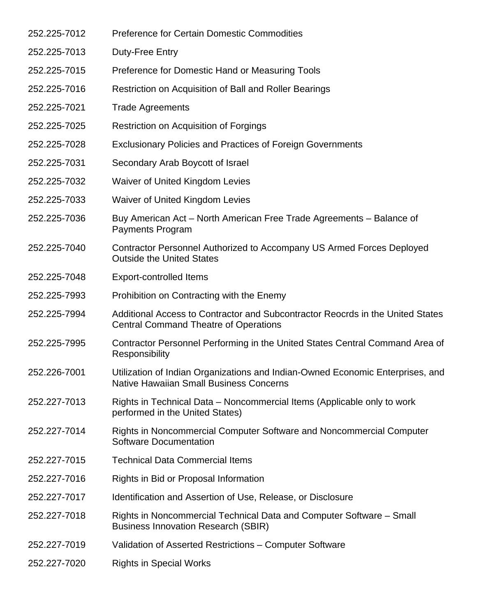| 252.225-7012 | <b>Preference for Certain Domestic Commodities</b>                                                                               |
|--------------|----------------------------------------------------------------------------------------------------------------------------------|
| 252.225-7013 | Duty-Free Entry                                                                                                                  |
| 252.225-7015 | Preference for Domestic Hand or Measuring Tools                                                                                  |
| 252.225-7016 | Restriction on Acquisition of Ball and Roller Bearings                                                                           |
| 252.225-7021 | <b>Trade Agreements</b>                                                                                                          |
| 252.225-7025 | Restriction on Acquisition of Forgings                                                                                           |
| 252.225-7028 | <b>Exclusionary Policies and Practices of Foreign Governments</b>                                                                |
| 252.225-7031 | Secondary Arab Boycott of Israel                                                                                                 |
| 252.225-7032 | Waiver of United Kingdom Levies                                                                                                  |
| 252.225-7033 | Waiver of United Kingdom Levies                                                                                                  |
| 252.225-7036 | Buy American Act – North American Free Trade Agreements – Balance of<br><b>Payments Program</b>                                  |
| 252.225-7040 | Contractor Personnel Authorized to Accompany US Armed Forces Deployed<br><b>Outside the United States</b>                        |
| 252.225-7048 | <b>Export-controlled Items</b>                                                                                                   |
| 252.225-7993 | Prohibition on Contracting with the Enemy                                                                                        |
| 252.225-7994 | Additional Access to Contractor and Subcontractor Reocrds in the United States<br><b>Central Command Theatre of Operations</b>   |
| 252.225-7995 | Contractor Personnel Performing in the United States Central Command Area of<br>Responsibility                                   |
| 252.226-7001 | Utilization of Indian Organizations and Indian-Owned Economic Enterprises, and<br><b>Native Hawaiian Small Business Concerns</b> |
| 252.227-7013 | Rights in Technical Data – Noncommercial Items (Applicable only to work<br>performed in the United States)                       |
| 252.227-7014 | Rights in Noncommercial Computer Software and Noncommercial Computer<br>Software Documentation                                   |
| 252.227-7015 | <b>Technical Data Commercial Items</b>                                                                                           |
| 252.227-7016 | Rights in Bid or Proposal Information                                                                                            |
| 252.227-7017 | Identification and Assertion of Use, Release, or Disclosure                                                                      |
| 252.227-7018 | Rights in Noncommercial Technical Data and Computer Software – Small<br><b>Business Innovation Research (SBIR)</b>               |
| 252.227-7019 | Validation of Asserted Restrictions - Computer Software                                                                          |
| 252.227-7020 | <b>Rights in Special Works</b>                                                                                                   |
|              |                                                                                                                                  |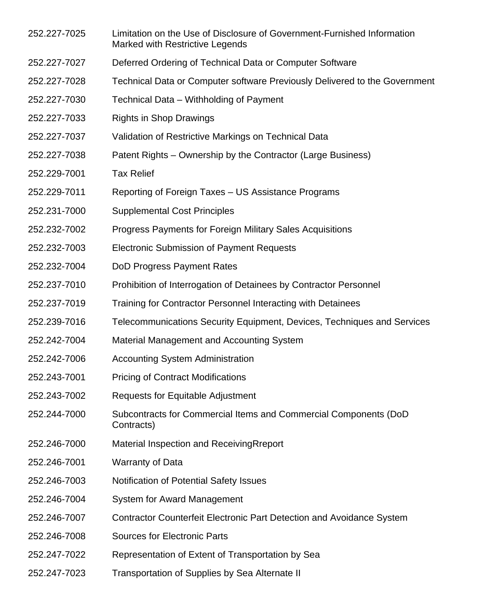- 252.227-7025 Limitation on the Use of Disclosure of Government-Furnished Information Marked with Restrictive Legends
- 252.227-7027 Deferred Ordering of Technical Data or Computer Software
- 252.227-7028 Technical Data or Computer software Previously Delivered to the Government
- 252.227-7030 Technical Data Withholding of Payment
- 252.227-7033 Rights in Shop Drawings
- 252.227-7037 Validation of Restrictive Markings on Technical Data
- 252.227-7038 Patent Rights Ownership by the Contractor (Large Business)
- 252.229-7001 Tax Relief
- 252.229-7011 Reporting of Foreign Taxes US Assistance Programs
- 252.231-7000 Supplemental Cost Principles
- 252.232-7002 Progress Payments for Foreign Military Sales Acquisitions
- 252.232-7003 Electronic Submission of Payment Requests
- 252.232-7004 DoD Progress Payment Rates
- 252.237-7010 Prohibition of Interrogation of Detainees by Contractor Personnel
- 252.237-7019 Training for Contractor Personnel Interacting with Detainees
- 252.239-7016 Telecommunications Security Equipment, Devices, Techniques and Services
- 252.242-7004 Material Management and Accounting System
- 252.242-7006 Accounting System Administration
- 252.243-7001 Pricing of Contract Modifications
- 252.243-7002 Requests for Equitable Adjustment
- 252.244-7000 Subcontracts for Commercial Items and Commercial Components (DoD Contracts)
- 252.246-7000 Material Inspection and ReceivingRreport
- 252.246-7001 Warranty of Data
- 252.246-7003 Notification of Potential Safety Issues
- 252.246-7004 System for Award Management
- 252.246-7007 Contractor Counterfeit Electronic Part Detection and Avoidance System
- 252.246-7008 Sources for Electronic Parts
- 252.247-7022 Representation of Extent of Transportation by Sea
- 252.247-7023 Transportation of Supplies by Sea Alternate II